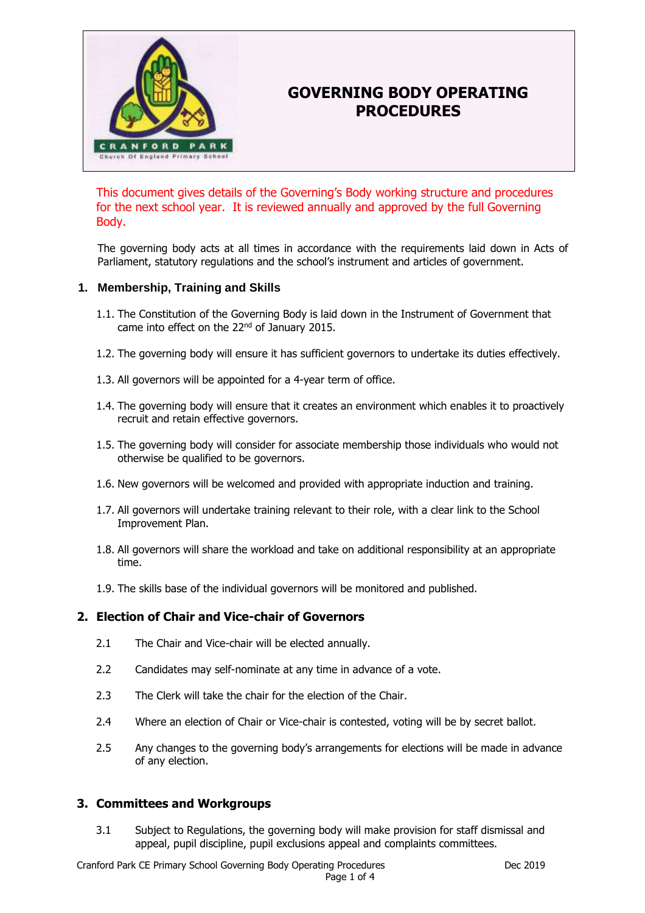

# **GOVERNING BODY OPERATING PROCEDURES**

This document gives details of the Governing's Body working structure and procedures for the next school year. It is reviewed annually and approved by the full Governing Body.

The governing body acts at all times in accordance with the requirements laid down in Acts of Parliament, statutory regulations and the school's instrument and articles of government.

## **1. Membership, Training and Skills**

- 1.1. The Constitution of the Governing Body is laid down in the Instrument of Government that came into effect on the 22<sup>nd</sup> of January 2015.
- 1.2. The governing body will ensure it has sufficient governors to undertake its duties effectively.
- 1.3. All governors will be appointed for a 4-year term of office.
- 1.4. The governing body will ensure that it creates an environment which enables it to proactively recruit and retain effective governors.
- 1.5. The governing body will consider for associate membership those individuals who would not otherwise be qualified to be governors.
- 1.6. New governors will be welcomed and provided with appropriate induction and training.
- 1.7. All governors will undertake training relevant to their role, with a clear link to the School Improvement Plan.
- 1.8. All governors will share the workload and take on additional responsibility at an appropriate time.
- 1.9. The skills base of the individual governors will be monitored and published.

# **2. Election of Chair and Vice-chair of Governors**

- 2.1 The Chair and Vice-chair will be elected annually.
- 2.2 Candidates may self-nominate at any time in advance of a vote.
- 2.3 The Clerk will take the chair for the election of the Chair.
- 2.4 Where an election of Chair or Vice-chair is contested, voting will be by secret ballot.
- 2.5 Any changes to the governing body's arrangements for elections will be made in advance of any election.

## **3. Committees and Workgroups**

3.1 Subject to Regulations, the governing body will make provision for staff dismissal and appeal, pupil discipline, pupil exclusions appeal and complaints committees.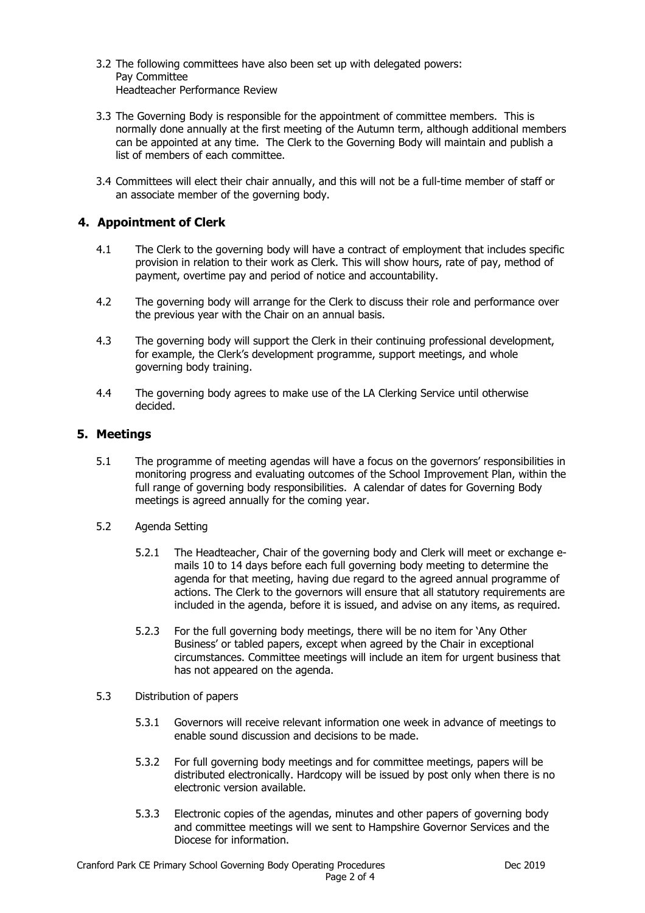- 3.2 The following committees have also been set up with delegated powers: Pay Committee Headteacher Performance Review
- 3.3 The Governing Body is responsible for the appointment of committee members. This is normally done annually at the first meeting of the Autumn term, although additional members can be appointed at any time. The Clerk to the Governing Body will maintain and publish a list of members of each committee.
- 3.4 Committees will elect their chair annually, and this will not be a full-time member of staff or an associate member of the governing body.

# **4. Appointment of Clerk**

- 4.1 The Clerk to the governing body will have a contract of employment that includes specific provision in relation to their work as Clerk. This will show hours, rate of pay, method of payment, overtime pay and period of notice and accountability.
- 4.2 The governing body will arrange for the Clerk to discuss their role and performance over the previous year with the Chair on an annual basis.
- 4.3 The governing body will support the Clerk in their continuing professional development, for example, the Clerk's development programme, support meetings, and whole governing body training.
- 4.4 The governing body agrees to make use of the LA Clerking Service until otherwise decided.

#### **5. Meetings**

- 5.1 The programme of meeting agendas will have a focus on the governors' responsibilities in monitoring progress and evaluating outcomes of the School Improvement Plan, within the full range of governing body responsibilities. A calendar of dates for Governing Body meetings is agreed annually for the coming year.
- 5.2 Agenda Setting
	- 5.2.1 The Headteacher, Chair of the governing body and Clerk will meet or exchange emails 10 to 14 days before each full governing body meeting to determine the agenda for that meeting, having due regard to the agreed annual programme of actions. The Clerk to the governors will ensure that all statutory requirements are included in the agenda, before it is issued, and advise on any items, as required.
	- 5.2.3 For the full governing body meetings, there will be no item for 'Any Other Business' or tabled papers, except when agreed by the Chair in exceptional circumstances. Committee meetings will include an item for urgent business that has not appeared on the agenda.
- 5.3 Distribution of papers
	- 5.3.1 Governors will receive relevant information one week in advance of meetings to enable sound discussion and decisions to be made.
	- 5.3.2 For full governing body meetings and for committee meetings, papers will be distributed electronically. Hardcopy will be issued by post only when there is no electronic version available.
	- 5.3.3 Electronic copies of the agendas, minutes and other papers of governing body and committee meetings will we sent to Hampshire Governor Services and the Diocese for information.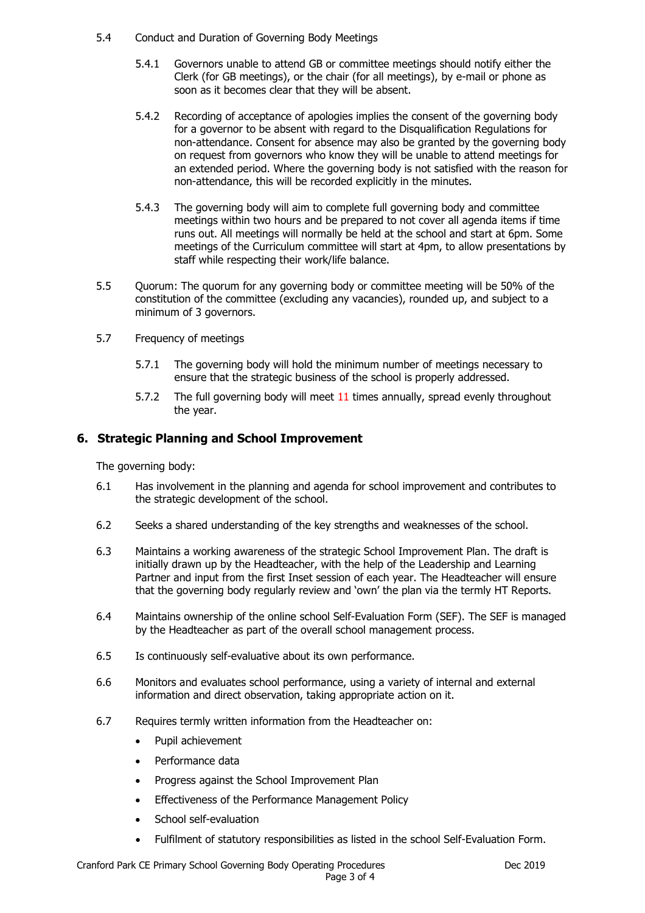- 5.4 Conduct and Duration of Governing Body Meetings
	- 5.4.1 Governors unable to attend GB or committee meetings should notify either the Clerk (for GB meetings), or the chair (for all meetings), by e-mail or phone as soon as it becomes clear that they will be absent.
	- 5.4.2 Recording of acceptance of apologies implies the consent of the governing body for a governor to be absent with regard to the Disqualification Regulations for non-attendance. Consent for absence may also be granted by the governing body on request from governors who know they will be unable to attend meetings for an extended period. Where the governing body is not satisfied with the reason for non-attendance, this will be recorded explicitly in the minutes.
	- 5.4.3 The governing body will aim to complete full governing body and committee meetings within two hours and be prepared to not cover all agenda items if time runs out. All meetings will normally be held at the school and start at 6pm. Some meetings of the Curriculum committee will start at 4pm, to allow presentations by staff while respecting their work/life balance.
- 5.5 Quorum: The quorum for any governing body or committee meeting will be 50% of the constitution of the committee (excluding any vacancies), rounded up, and subject to a minimum of 3 governors.
- 5.7 Frequency of meetings
	- 5.7.1 The governing body will hold the minimum number of meetings necessary to ensure that the strategic business of the school is properly addressed.
	- 5.7.2 The full governing body will meet 11 times annually, spread evenly throughout the year.

# **6. Strategic Planning and School Improvement**

The governing body:

- 6.1 Has involvement in the planning and agenda for school improvement and contributes to the strategic development of the school.
- 6.2 Seeks a shared understanding of the key strengths and weaknesses of the school.
- 6.3 Maintains a working awareness of the strategic School Improvement Plan. The draft is initially drawn up by the Headteacher, with the help of the Leadership and Learning Partner and input from the first Inset session of each year. The Headteacher will ensure that the governing body regularly review and 'own' the plan via the termly HT Reports.
- 6.4 Maintains ownership of the online school Self-Evaluation Form (SEF). The SEF is managed by the Headteacher as part of the overall school management process.
- 6.5 Is continuously self-evaluative about its own performance.
- 6.6 Monitors and evaluates school performance, using a variety of internal and external information and direct observation, taking appropriate action on it.
- 6.7 Requires termly written information from the Headteacher on:
	- Pupil achievement
	- Performance data
	- Progress against the School Improvement Plan
	- Effectiveness of the Performance Management Policy
	- School self-evaluation
	- Fulfilment of statutory responsibilities as listed in the school Self-Evaluation Form.